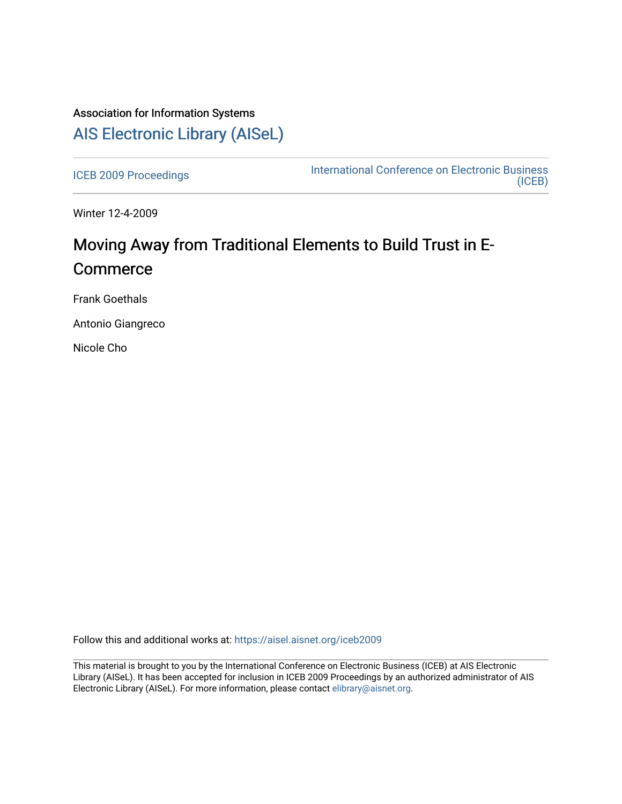# Association for Information Systems [AIS Electronic Library \(AISeL\)](https://aisel.aisnet.org/)

[ICEB 2009 Proceedings](https://aisel.aisnet.org/iceb2009) **International Conference on Electronic Business** [\(ICEB\)](https://aisel.aisnet.org/iceb) 

Winter 12-4-2009

# Moving Away from Traditional Elements to Build Trust in E-**Commerce**

Frank Goethals

Antonio Giangreco

Nicole Cho

Follow this and additional works at: [https://aisel.aisnet.org/iceb2009](https://aisel.aisnet.org/iceb2009?utm_source=aisel.aisnet.org%2Ficeb2009%2F154&utm_medium=PDF&utm_campaign=PDFCoverPages)

This material is brought to you by the International Conference on Electronic Business (ICEB) at AIS Electronic Library (AISeL). It has been accepted for inclusion in ICEB 2009 Proceedings by an authorized administrator of AIS Electronic Library (AISeL). For more information, please contact [elibrary@aisnet.org.](mailto:elibrary@aisnet.org%3E)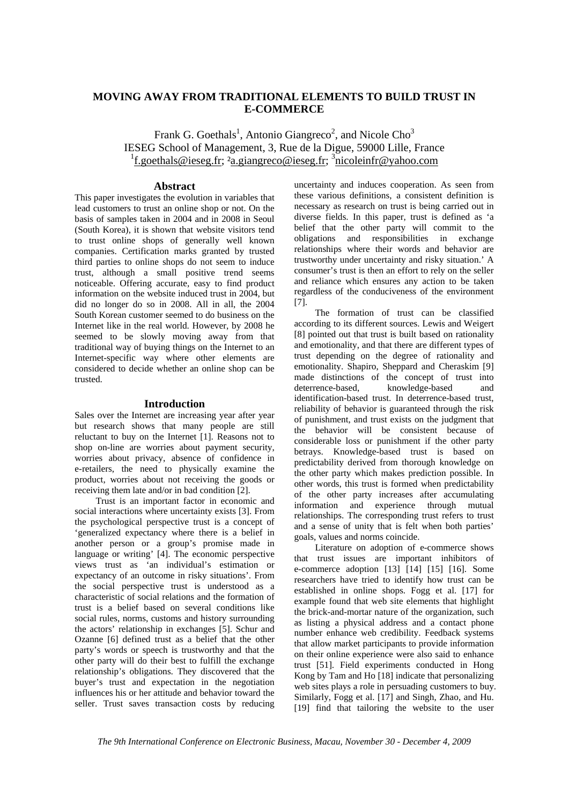# **MOVING AWAY FROM TRADITIONAL ELEMENTS TO BUILD TRUST IN E-COMMERCE**

Frank G. Goethals<sup>1</sup>, Antonio Giangreco<sup>2</sup>, and Nicole Cho<sup>3</sup> IESEG School of Management, 3, Rue de la Digue, 59000 Lille, France <sup>1</sup>f.goethals@ieseg.fr; <sup>2</sup>a.giangreco@ieseg.fr; <sup>3</sup>nicoleinfr@yahoo.com

# **Abstract**

This paper investigates the evolution in variables that lead customers to trust an online shop or not. On the basis of samples taken in 2004 and in 2008 in Seoul (South Korea), it is shown that website visitors tend to trust online shops of generally well known companies. Certification marks granted by trusted third parties to online shops do not seem to induce trust, although a small positive trend seems noticeable. Offering accurate, easy to find product information on the website induced trust in 2004, but did no longer do so in 2008. All in all, the 2004 South Korean customer seemed to do business on the Internet like in the real world. However, by 2008 he seemed to be slowly moving away from that traditional way of buying things on the Internet to an Internet-specific way where other elements are considered to decide whether an online shop can be trusted.

## **Introduction**

Sales over the Internet are increasing year after year but research shows that many people are still reluctant to buy on the Internet [1]. Reasons not to shop on-line are worries about payment security, worries about privacy, absence of confidence in e-retailers, the need to physically examine the product, worries about not receiving the goods or receiving them late and/or in bad condition [2].

Trust is an important factor in economic and social interactions where uncertainty exists [3]. From the psychological perspective trust is a concept of 'generalized expectancy where there is a belief in another person or a group's promise made in language or writing' [4]. The economic perspective views trust as 'an individual's estimation or expectancy of an outcome in risky situations'. From the social perspective trust is understood as a characteristic of social relations and the formation of trust is a belief based on several conditions like social rules, norms, customs and history surrounding the actors' relationship in exchanges [5]. Schur and Ozanne [6] defined trust as a belief that the other party's words or speech is trustworthy and that the other party will do their best to fulfill the exchange relationship's obligations. They discovered that the buyer's trust and expectation in the negotiation influences his or her attitude and behavior toward the seller. Trust saves transaction costs by reducing

uncertainty and induces cooperation. As seen from these various definitions, a consistent definition is necessary as research on trust is being carried out in diverse fields. In this paper, trust is defined as 'a belief that the other party will commit to the obligations and responsibilities in exchange relationships where their words and behavior are trustworthy under uncertainty and risky situation.' A consumer's trust is then an effort to rely on the seller and reliance which ensures any action to be taken regardless of the conduciveness of the environment [7].

The formation of trust can be classified according to its different sources. Lewis and Weigert [8] pointed out that trust is built based on rationality and emotionality, and that there are different types of trust depending on the degree of rationality and emotionality. Shapiro, Sheppard and Cheraskim [9] made distinctions of the concept of trust into deterrence-based, knowledge-based and identification-based trust. In deterrence-based trust, reliability of behavior is guaranteed through the risk of punishment, and trust exists on the judgment that the behavior will be consistent because of considerable loss or punishment if the other party betrays. Knowledge-based trust is based on predictability derived from thorough knowledge on the other party which makes prediction possible. In other words, this trust is formed when predictability of the other party increases after accumulating information and experience through mutual relationships. The corresponding trust refers to trust and a sense of unity that is felt when both parties' goals, values and norms coincide.

Literature on adoption of e-commerce shows that trust issues are important inhibitors of e-commerce adoption [13] [14] [15] [16]. Some researchers have tried to identify how trust can be established in online shops. Fogg et al. [17] for example found that web site elements that highlight the brick-and-mortar nature of the organization, such as listing a physical address and a contact phone number enhance web credibility. Feedback systems that allow market participants to provide information on their online experience were also said to enhance trust [51]. Field experiments conducted in Hong Kong by Tam and Ho [18] indicate that personalizing web sites plays a role in persuading customers to buy. Similarly, Fogg et al. [17] and Singh, Zhao, and Hu. [19] find that tailoring the website to the user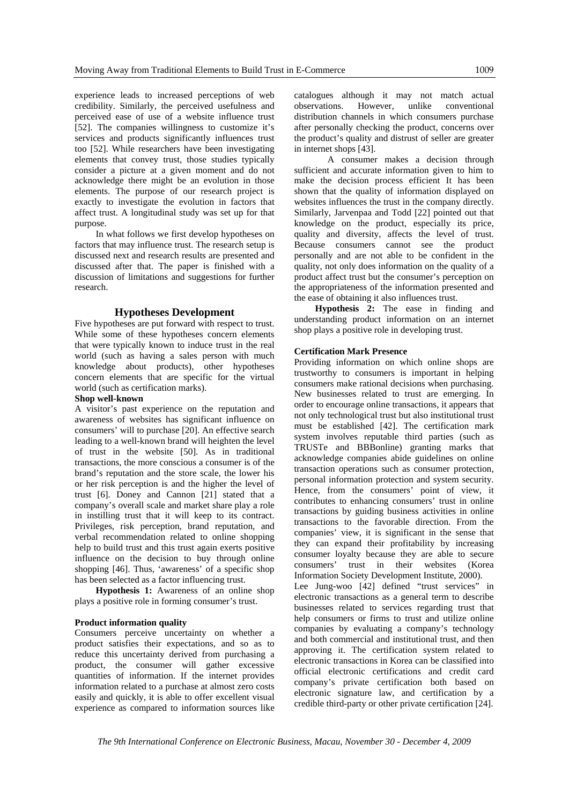experience leads to increased perceptions of web credibility. Similarly, the perceived usefulness and perceived ease of use of a website influence trust [52]. The companies willingness to customize it's services and products significantly influences trust too [52]. While researchers have been investigating elements that convey trust, those studies typically consider a picture at a given moment and do not acknowledge there might be an evolution in those elements. The purpose of our research project is exactly to investigate the evolution in factors that affect trust. A longitudinal study was set up for that purpose.

In what follows we first develop hypotheses on factors that may influence trust. The research setup is discussed next and research results are presented and discussed after that. The paper is finished with a discussion of limitations and suggestions for further research.

## **Hypotheses Development**

Five hypotheses are put forward with respect to trust. While some of these hypotheses concern elements that were typically known to induce trust in the real world (such as having a sales person with much knowledge about products), other hypotheses concern elements that are specific for the virtual world (such as certification marks).

#### **Shop well-known**

A visitor's past experience on the reputation and awareness of websites has significant influence on consumers' will to purchase [20]. An effective search leading to a well-known brand will heighten the level of trust in the website [50]. As in traditional transactions, the more conscious a consumer is of the brand's reputation and the store scale, the lower his or her risk perception is and the higher the level of trust [6]. Doney and Cannon [21] stated that a company's overall scale and market share play a role in instilling trust that it will keep to its contract. Privileges, risk perception, brand reputation, and verbal recommendation related to online shopping help to build trust and this trust again exerts positive influence on the decision to buy through online shopping [46]. Thus, 'awareness' of a specific shop has been selected as a factor influencing trust.

**Hypothesis 1:** Awareness of an online shop plays a positive role in forming consumer's trust.

## **Product information quality**

Consumers perceive uncertainty on whether a product satisfies their expectations, and so as to reduce this uncertainty derived from purchasing a product, the consumer will gather excessive quantities of information. If the internet provides information related to a purchase at almost zero costs easily and quickly, it is able to offer excellent visual experience as compared to information sources like catalogues although it may not match actual observations. However, unlike conventional distribution channels in which consumers purchase after personally checking the product, concerns over the product's quality and distrust of seller are greater in internet shops [43].

 A consumer makes a decision through sufficient and accurate information given to him to make the decision process efficient It has been shown that the quality of information displayed on websites influences the trust in the company directly. Similarly, Jarvenpaa and Todd [22] pointed out that knowledge on the product, especially its price, quality and diversity, affects the level of trust. Because consumers cannot see the product personally and are not able to be confident in the quality, not only does information on the quality of a product affect trust but the consumer's perception on the appropriateness of the information presented and the ease of obtaining it also influences trust.

**Hypothesis 2:** The ease in finding and understanding product information on an internet shop plays a positive role in developing trust.

# **Certification Mark Presence**

Providing information on which online shops are trustworthy to consumers is important in helping consumers make rational decisions when purchasing. New businesses related to trust are emerging. In order to encourage online transactions, it appears that not only technological trust but also institutional trust must be established [42]. The certification mark system involves reputable third parties (such as TRUSTe and BBBonline) granting marks that acknowledge companies abide guidelines on online transaction operations such as consumer protection, personal information protection and system security. Hence, from the consumers' point of view, it contributes to enhancing consumers' trust in online transactions by guiding business activities in online transactions to the favorable direction. From the companies' view, it is significant in the sense that they can expand their profitability by increasing consumer loyalty because they are able to secure consumers' trust in their websites (Korea Information Society Development Institute, 2000).

Lee Jung-woo [42] defined "trust services" in electronic transactions as a general term to describe businesses related to services regarding trust that help consumers or firms to trust and utilize online companies by evaluating a company's technology and both commercial and institutional trust, and then approving it. The certification system related to electronic transactions in Korea can be classified into official electronic certifications and credit card company's private certification both based on electronic signature law, and certification by a credible third-party or other private certification [24].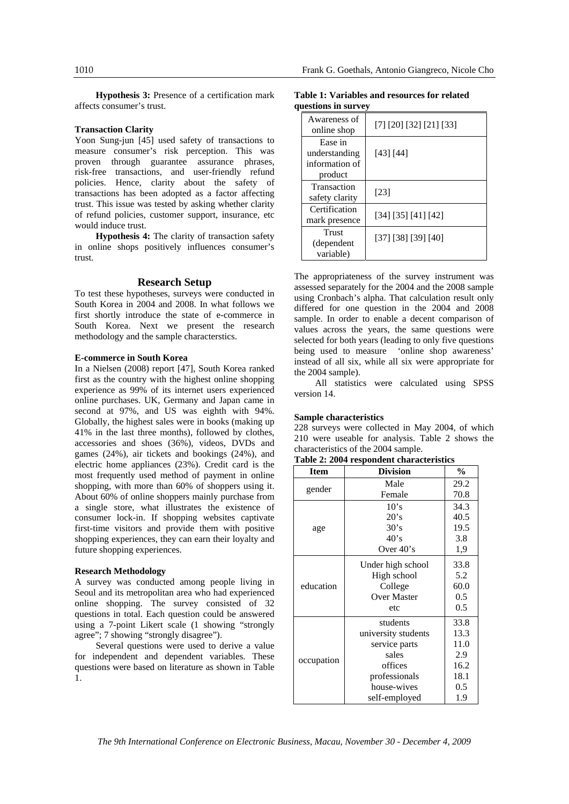**Hypothesis 3:** Presence of a certification mark affects consumer's trust.

# **Transaction Clarity**

Yoon Sung-jun [45] used safety of transactions to measure consumer's risk perception. This was proven through guarantee assurance phrases, risk-free transactions, and user-friendly refund policies. Hence, clarity about the safety of transactions has been adopted as a factor affecting trust. This issue was tested by asking whether clarity of refund policies, customer support, insurance, etc would induce trust.

**Hypothesis 4:** The clarity of transaction safety in online shops positively influences consumer's trust.

# **Research Setup**

To test these hypotheses, surveys were conducted in South Korea in 2004 and 2008. In what follows we first shortly introduce the state of e-commerce in South Korea. Next we present the research methodology and the sample characterstics.

#### **E-commerce in South Korea**

In a Nielsen (2008) report [47], South Korea ranked first as the country with the highest online shopping experience as 99% of its internet users experienced online purchases. UK, Germany and Japan came in second at 97%, and US was eighth with 94%. Globally, the highest sales were in books (making up 41% in the last three months), followed by clothes, accessories and shoes (36%), videos, DVDs and games (24%), air tickets and bookings (24%), and electric home appliances (23%). Credit card is the most frequently used method of payment in online shopping, with more than 60% of shoppers using it. About 60% of online shoppers mainly purchase from a single store, what illustrates the existence of consumer lock-in. If shopping websites captivate first-time visitors and provide them with positive shopping experiences, they can earn their loyalty and future shopping experiences.

#### **Research Methodology**

A survey was conducted among people living in Seoul and its metropolitan area who had experienced online shopping. The survey consisted of 32 questions in total. Each question could be answered using a 7-point Likert scale (1 showing "strongly agree"; 7 showing "strongly disagree").

Several questions were used to derive a value for independent and dependent variables. These questions were based on literature as shown in Table 1.

**Table 1: Variables and resources for related questions in survey** 

| Awareness of<br>online shop                           | $[7]$ $[20]$ $[32]$ $[21]$ $[33]$ |
|-------------------------------------------------------|-----------------------------------|
| Ease in<br>understanding<br>information of<br>product | [43] [44]                         |
| Transaction<br>safety clarity                         | [23]                              |
| Certification<br>mark presence                        | [34] [35] [41] [42]               |
| Trust<br>(dependent<br>variable)                      | [37] [38] [39] [40]               |

The appropriateness of the survey instrument was assessed separately for the 2004 and the 2008 sample using Cronbach's alpha. That calculation result only differed for one question in the 2004 and 2008 sample. In order to enable a decent comparison of values across the years, the same questions were selected for both years (leading to only five questions being used to measure 'online shop awareness' instead of all six, while all six were appropriate for the 2004 sample).

All statistics were calculated using SPSS version 14.

#### **Sample characteristics**

228 surveys were collected in May 2004, of which 210 were useable for analysis. Table 2 shows the characteristics of the 2004 sample.

|  |  | Table 2: 2004 respondent characteristics |
|--|--|------------------------------------------|
|--|--|------------------------------------------|

| <b>Item</b> | <b>Division</b>     | $\frac{0}{0}$ |
|-------------|---------------------|---------------|
|             | Male                | 29.2          |
| gender      | Female              | 70.8          |
|             | 10's                | 34.3          |
|             | 20's                | 40.5          |
| age         | 30's                | 19.5          |
|             | 40's                | 3.8           |
|             | Over $40's$         | 1,9           |
|             | Under high school   | 33.8          |
|             | High school         | 5.2           |
| education   | College             | 60.0          |
|             | <b>Over Master</b>  | 0.5           |
|             | etc                 | 0.5           |
|             | students            | 33.8          |
|             | university students | 13.3          |
|             | service parts       | 11.0          |
|             | sales               | 2.9           |
| occupation  | offices             | 16.2          |
|             | professionals       | 18.1          |
|             | house-wives         | 0.5           |
|             | self-employed       | 1.9           |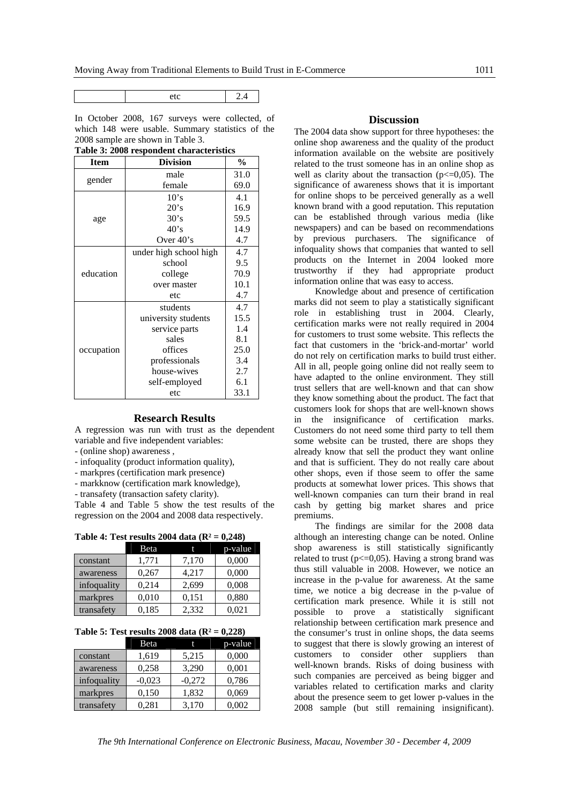In October 2008, 167 surveys were collected, of which 148 were usable. Summary statistics of the 2008 sample are shown in Table 3.

| <b>Item</b> | <b>Division</b>        | $\frac{0}{0}$ |
|-------------|------------------------|---------------|
|             | male                   | 31.0          |
| gender      | female                 | 69.0          |
|             | 10's                   | 4.1           |
|             | 20's                   | 16.9          |
| age         | 30's                   | 59.5          |
|             | 40's                   | 14.9          |
|             | Over $40's$            | 4.7           |
|             | under high school high | 4.7           |
| education   | school                 | 9.5           |
|             | college                | 70.9          |
|             | over master            | 10.1          |
|             | etc                    | 4.7           |
|             | students               | 4.7           |
|             | university students    | 15.5          |
|             | service parts          | 1.4           |
|             | sales                  | 8.1           |
| occupation  | offices                | 25.0          |
|             | professionals          | 3.4           |
|             | house-wives            | 2.7           |
|             | self-employed          | 6.1           |
|             | etc                    | 33.1          |

## **Table 3: 2008 respondent characteristics**

#### **Research Results**

A regression was run with trust as the dependent variable and five independent variables:

- (online shop) awareness ,
- infoquality (product information quality),
- markpres (certification mark presence)
- markknow (certification mark knowledge),
- transafety (transaction safety clarity).

Table 4 and Table 5 show the test results of the regression on the 2004 and 2008 data respectively.

| Table 4: Test results 2004 data $(R^2 = 0,248)$ |  |  |  |  |
|-------------------------------------------------|--|--|--|--|
|-------------------------------------------------|--|--|--|--|

|             | Beta  |       | p-value |
|-------------|-------|-------|---------|
| constant    | 1,771 | 7,170 | 0,000   |
| awareness   | 0,267 | 4,217 | 0,000   |
| infoquality | 0,214 | 2,699 | 0,008   |
| markpres    | 0,010 | 0,151 | 0,880   |
| transafety  | 0,185 | 2,332 | 0,021   |

| Table 5: Test results 2008 data $(R^2 = 0,228)$ |  |  |  |  |  |  |  |  |  |  |
|-------------------------------------------------|--|--|--|--|--|--|--|--|--|--|
|-------------------------------------------------|--|--|--|--|--|--|--|--|--|--|

|             | Beta     |          | p-value |
|-------------|----------|----------|---------|
| constant    | 1,619    | 5,215    | 0,000   |
| awareness   | 0,258    | 3.290    | 0,001   |
| infoquality | $-0,023$ | $-0,272$ | 0,786   |
| markpres    | 0,150    | 1,832    | 0,069   |
| transafety  | 0.281    | 3,170    | 0,002   |

# **Discussion**

The 2004 data show support for three hypotheses: the online shop awareness and the quality of the product information available on the website are positively related to the trust someone has in an online shop as well as clarity about the transaction  $(p \le 0.05)$ . The significance of awareness shows that it is important for online shops to be perceived generally as a well known brand with a good reputation. This reputation can be established through various media (like newspapers) and can be based on recommendations by previous purchasers. The significance of infoquality shows that companies that wanted to sell products on the Internet in 2004 looked more trustworthy if they had appropriate product information online that was easy to access.

Knowledge about and presence of certification marks did not seem to play a statistically significant role in establishing trust in 2004. Clearly, certification marks were not really required in 2004 for customers to trust some website. This reflects the fact that customers in the 'brick-and-mortar' world do not rely on certification marks to build trust either. All in all, people going online did not really seem to have adapted to the online environment. They still trust sellers that are well-known and that can show they know something about the product. The fact that customers look for shops that are well-known shows in the insignificance of certification marks. Customers do not need some third party to tell them some website can be trusted, there are shops they already know that sell the product they want online and that is sufficient. They do not really care about other shops, even if those seem to offer the same products at somewhat lower prices. This shows that well-known companies can turn their brand in real cash by getting big market shares and price premiums.

The findings are similar for the 2008 data although an interesting change can be noted. Online shop awareness is still statistically significantly related to trust ( $p \le 0.05$ ). Having a strong brand was thus still valuable in 2008. However, we notice an increase in the p-value for awareness. At the same time, we notice a big decrease in the p-value of certification mark presence. While it is still not possible to prove a statistically significant relationship between certification mark presence and the consumer's trust in online shops, the data seems to suggest that there is slowly growing an interest of customers to consider other suppliers than well-known brands. Risks of doing business with such companies are perceived as being bigger and variables related to certification marks and clarity about the presence seem to get lower p-values in the 2008 sample (but still remaining insignificant).

*The 9th International Conference on Electronic Business, Macau, November 30 - December 4, 2009*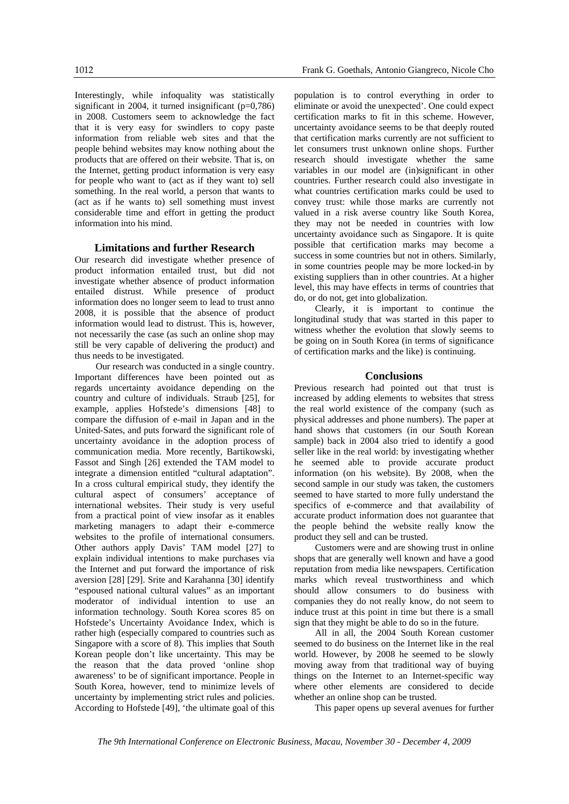Interestingly, while infoquality was statistically significant in 2004, it turned insignificant (p=0,786) in 2008. Customers seem to acknowledge the fact that it is very easy for swindlers to copy paste information from reliable web sites and that the people behind websites may know nothing about the products that are offered on their website. That is, on the Internet, getting product information is very easy for people who want to (act as if they want to) sell something. In the real world, a person that wants to (act as if he wants to) sell something must invest considerable time and effort in getting the product information into his mind.

# **Limitations and further Research**

Our research did investigate whether presence of product information entailed trust, but did not investigate whether absence of product information entailed distrust. While presence of product information does no longer seem to lead to trust anno 2008, it is possible that the absence of product information would lead to distrust. This is, however, not necessarily the case (as such an online shop may still be very capable of delivering the product) and thus needs to be investigated.

Our research was conducted in a single country. Important differences have been pointed out as regards uncertainty avoidance depending on the country and culture of individuals. Straub [25], for example, applies Hofstede's dimensions [48] to compare the diffusion of e-mail in Japan and in the United-Sates, and puts forward the significant role of uncertainty avoidance in the adoption process of communication media. More recently, Bartikowski, Fassot and Singh [26] extended the TAM model to integrate a dimension entitled "cultural adaptation". In a cross cultural empirical study, they identify the cultural aspect of consumers' acceptance of international websites. Their study is very useful from a practical point of view insofar as it enables marketing managers to adapt their e-commerce websites to the profile of international consumers. Other authors apply Davis' TAM model [27] to explain individual intentions to make purchases via the Internet and put forward the importance of risk aversion [28] [29]. Srite and Karahanna [30] identify "espoused national cultural values" as an important moderator of individual intention to use an information technology. South Korea scores 85 on Hofstede's Uncertainty Avoidance Index, which is rather high (especially compared to countries such as Singapore with a score of 8). This implies that South Korean people don't like uncertainty. This may be the reason that the data proved 'online shop awareness' to be of significant importance. People in South Korea, however, tend to minimize levels of uncertainty by implementing strict rules and policies. According to Hofstede [49], 'the ultimate goal of this

population is to control everything in order to eliminate or avoid the unexpected'. One could expect certification marks to fit in this scheme. However, uncertainty avoidance seems to be that deeply routed that certification marks currently are not sufficient to let consumers trust unknown online shops. Further research should investigate whether the same variables in our model are (in)significant in other countries. Further research could also investigate in what countries certification marks could be used to convey trust: while those marks are currently not valued in a risk averse country like South Korea, they may not be needed in countries with low uncertainty avoidance such as Singapore. It is quite possible that certification marks may become a success in some countries but not in others. Similarly, in some countries people may be more locked-in by existing suppliers than in other countries. At a higher level, this may have effects in terms of countries that do, or do not, get into globalization.

Clearly, it is important to continue the longitudinal study that was started in this paper to witness whether the evolution that slowly seems to be going on in South Korea (in terms of significance of certification marks and the like) is continuing.

# **Conclusions**

Previous research had pointed out that trust is increased by adding elements to websites that stress the real world existence of the company (such as physical addresses and phone numbers). The paper at hand shows that customers (in our South Korean sample) back in 2004 also tried to identify a good seller like in the real world: by investigating whether he seemed able to provide accurate product information (on his website). By 2008, when the second sample in our study was taken, the customers seemed to have started to more fully understand the specifics of e-commerce and that availability of accurate product information does not guarantee that the people behind the website really know the product they sell and can be trusted.

Customers were and are showing trust in online shops that are generally well known and have a good reputation from media like newspapers. Certification marks which reveal trustworthiness and which should allow consumers to do business with companies they do not really know, do not seem to induce trust at this point in time but there is a small sign that they might be able to do so in the future.

All in all, the 2004 South Korean customer seemed to do business on the Internet like in the real world. However, by 2008 he seemed to be slowly moving away from that traditional way of buying things on the Internet to an Internet-specific way where other elements are considered to decide whether an online shop can be trusted.

This paper opens up several avenues for further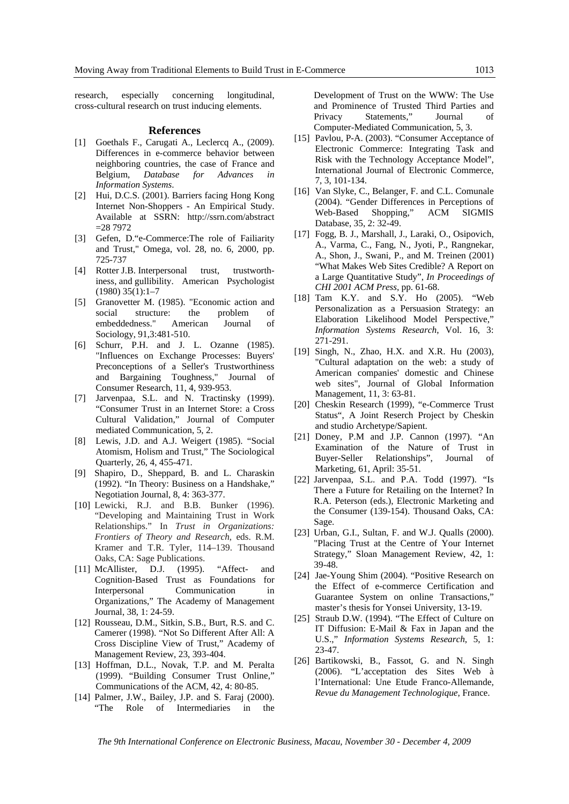research, especially concerning longitudinal, cross-cultural research on trust inducing elements.

#### **References**

- [1] Goethals F., Carugati A., Leclercq A., (2009). Differences in e-commerce behavior between neighboring countries, the case of France and Belgium, *Database for Advances in Information Systems*.
- [2] Hui, D.C.S. (2001). Barriers facing Hong Kong Internet Non-Shoppers - An Empirical Study. Available at SSRN: http://ssrn.com/abstract  $=287972$
- [3] Gefen, D."e-Commerce:The role of Failiarity and Trust," Omega, vol. 28, no. 6, 2000, pp. 725-737
- [4] Rotter J.B. Interpersonal trust, trustworthiness, and gullibility. American Psychologist  $(1980)$  35 $(1):1-7$
- [5] Granovetter M. (1985). "Economic action and social structure: the problem of embeddedness." American Journal of Sociology, 91,3:481-510.
- [6] Schurr, P.H. and J. L. Ozanne (1985). "Influences on Exchange Processes: Buyers' Preconceptions of a Seller's Trustworthiness and Bargaining Toughness," Journal of Consumer Research, 11, 4, 939-953.
- [7] Jarvenpaa, S.L. and N. Tractinsky (1999). "Consumer Trust in an Internet Store: a Cross Cultural Validation," Journal of Computer mediated Communication, 5, 2.
- [8] Lewis, J.D. and A.J. Weigert (1985). "Social Atomism, Holism and Trust," The Sociological Quarterly, 26, 4, 455-471.
- [9] Shapiro, D., Sheppard, B. and L. Charaskin (1992). "In Theory: Business on a Handshake," Negotiation Journal, 8, 4: 363-377.
- [10] Lewicki, R.J. and B.B. Bunker (1996). "Developing and Maintaining Trust in Work Relationships." In *Trust in Organizations: Frontiers of Theory and Research*, eds. R.M. Kramer and T.R. Tyler, 114–139. Thousand Oaks, CA: Sage Publications. [11] McAllister, D.J. (1995). "Affect- and
- Cognition-Based Trust as Foundations for Interpersonal Communication in Organizations," The Academy of Management Journal, 38, 1: 24-59.
- [12] Rousseau, D.M., Sitkin, S.B., Burt, R.S. and C. Camerer (1998). "Not So Different After All: A Cross Discipline View of Trust," Academy of Management Review, 23, 393-404.
- [13] Hoffman, D.L., Novak, T.P. and M. Peralta (1999). "Building Consumer Trust Online," Communications of the ACM, 42, 4: 80-85.
- [14] Palmer, J.W., Bailey, J.P. and S. Faraj (2000). "The Role of Intermediaries in the

Development of Trust on the WWW: The Use and Prominence of Trusted Third Parties and Privacy Statements," Journal of Computer-Mediated Communication, 5, 3.

- [15] Pavlou, P-A. (2003). "Consumer Acceptance of Electronic Commerce: Integrating Task and Risk with the Technology Acceptance Model", International Journal of Electronic Commerce, 7, 3, 101-134.
- [16] Van Slyke, C., Belanger, F. and C.L. Comunale (2004). "Gender Differences in Perceptions of<br>Web-Based Shopping," ACM SIGMIS Web-Based Shopping," ACM SIGMIS Database, 35, 2: 32-49.
- [17] Fogg, B. J., Marshall, J., Laraki, O., Osipovich, A., Varma, C., Fang, N., Jyoti, P., Rangnekar, A., Shon, J., Swani, P., and M. Treinen (2001) "What Makes Web Sites Credible? A Report on a Large Quantitative Study", *In Proceedings of CHI 2001 ACM Press*, pp. 61-68.
- [18] Tam K.Y. and S.Y. Ho (2005). "Web Personalization as a Persuasion Strategy: an Elaboration Likelihood Model Perspective," *Information Systems Research*, Vol. 16, 3: 271-291.
- [19] Singh, N., Zhao, H.X. and X.R. Hu (2003), "Cultural adaptation on the web: a study of American companies' domestic and Chinese web sites", Journal of Global Information Management, 11, 3: 63-81.
- [20] Cheskin Research (1999), "e-Commerce Trust Status", A Joint Reserch Project by Cheskin and studio Archetype/Sapient.
- [21] Doney, P.M and J.P. Cannon (1997). "An Examination of the Nature of Trust in Buyer-Seller Relationships", Journal of Marketing, 61, April: 35-51.
- [22] Jarvenpaa, S.L. and P.A. Todd (1997). "Is There a Future for Retailing on the Internet? In R.A. Peterson (eds.), Electronic Marketing and the Consumer (139-154). Thousand Oaks, CA: Sage.
- [23] Urban, G.I., Sultan, F. and W.J. Qualls (2000). "Placing Trust at the Centre of Your Internet Strategy," Sloan Management Review, 42, 1: 39-48.
- [24] Jae-Young Shim (2004). "Positive Research on the Effect of e-commerce Certification and Guarantee System on online Transactions," master's thesis for Yonsei University, 13-19.
- [25] Straub D.W. (1994). "The Effect of Culture on IT Diffusion: E-Mail & Fax in Japan and the U.S.," *Information Systems Research*, 5, 1: 23-47.
- [26] Bartikowski, B., Fassot, G. and N. Singh (2006). "L'acceptation des Sites Web à l'International: Une Etude Franco-Allemande*, Revue du Management Technologique*, France.